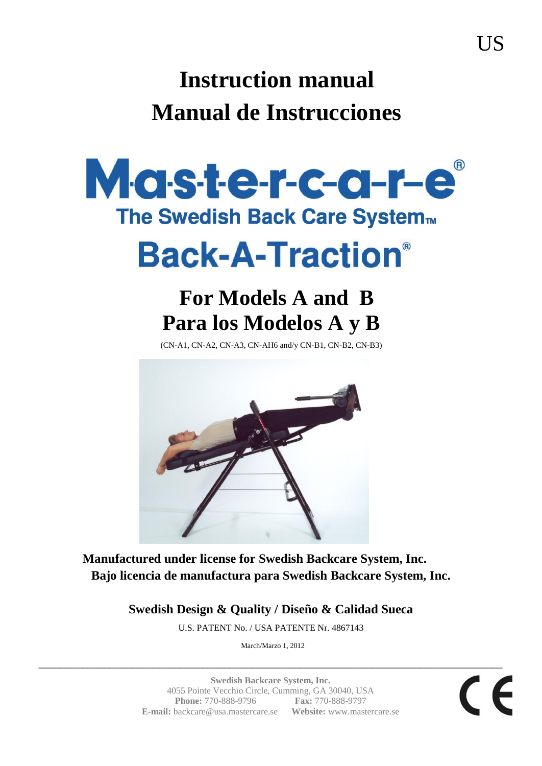# **Instruction manual Manual de Instrucciones**



**Manufactured under license for Swedish Backcare System, Inc. Bajo licencia de manufactura para Swedish Backcare System, Inc.**

**Swedish Design & Quality / Diseño & Calidad Sueca**

U.S. PATENT No. / USA PATENTE Nr. 4867143

March/Marzo 1, 2012

\_\_\_\_\_\_\_\_\_\_\_\_\_\_\_\_\_\_\_\_\_\_\_\_\_\_\_\_\_\_\_\_\_\_\_\_\_\_\_\_\_\_\_\_\_\_\_\_\_\_\_\_\_\_\_\_\_\_\_\_\_\_\_\_\_\_\_\_\_\_\_\_\_\_\_\_\_\_\_\_\_\_\_\_\_

**Swedish Backcare System, Inc.** 4055 Pointe Vecchio Circle, Cumming, GA 30040, USA **Phone:** 770-888-9796 **Fax:** 770-888-9797 **E-mail:** backcare@usa.mastercare.se **Website:** www.mastercare.se

 $\epsilon$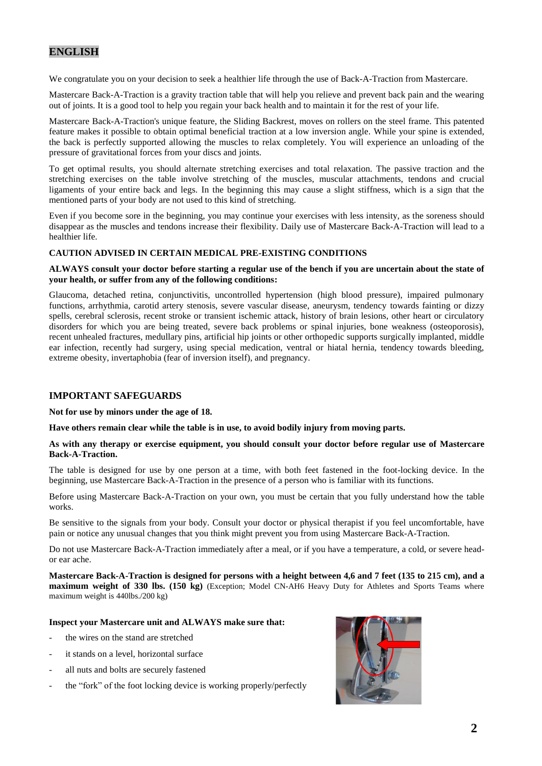# **ENGLISH**

We congratulate you on your decision to seek a healthier life through the use of Back-A-Traction from Mastercare.

Mastercare Back-A-Traction is a gravity traction table that will help you relieve and prevent back pain and the wearing out of joints. It is a good tool to help you regain your back health and to maintain it for the rest of your life.

Mastercare Back-A-Traction's unique feature, the Sliding Backrest, moves on rollers on the steel frame. This patented feature makes it possible to obtain optimal beneficial traction at a low inversion angle. While your spine is extended, the back is perfectly supported allowing the muscles to relax completely. You will experience an unloading of the pressure of gravitational forces from your discs and joints.

To get optimal results, you should alternate stretching exercises and total relaxation. The passive traction and the stretching exercises on the table involve stretching of the muscles, muscular attachments, tendons and crucial ligaments of your entire back and legs. In the beginning this may cause a slight stiffness, which is a sign that the mentioned parts of your body are not used to this kind of stretching.

Even if you become sore in the beginning, you may continue your exercises with less intensity, as the soreness should disappear as the muscles and tendons increase their flexibility. Daily use of Mastercare Back-A-Traction will lead to a healthier life.

#### **CAUTION ADVISED IN CERTAIN MEDICAL PRE-EXISTING CONDITIONS**

#### **ALWAYS consult your doctor before starting a regular use of the bench if you are uncertain about the state of your health, or suffer from any of the following conditions:**

Glaucoma, detached retina, conjunctivitis, uncontrolled hypertension (high blood pressure), impaired pulmonary functions, arrhythmia, carotid artery stenosis, severe vascular disease, aneurysm, tendency towards fainting or dizzy spells, cerebral sclerosis, recent stroke or transient ischemic attack, history of brain lesions, other heart or circulatory disorders for which you are being treated, severe back problems or spinal injuries, bone weakness (osteoporosis), recent unhealed fractures, medullary pins, artificial hip joints or other orthopedic supports surgically implanted, middle ear infection, recently had surgery, using special medication, ventral or hiatal hernia, tendency towards bleeding, extreme obesity, invertaphobia (fear of inversion itself), and pregnancy.

#### **IMPORTANT SAFEGUARDS**

#### **Not for use by minors under the age of 18.**

**Have others remain clear while the table is in use, to avoid bodily injury from moving parts.**

#### **As with any therapy or exercise equipment, you should consult your doctor before regular use of Mastercare Back-A-Traction.**

The table is designed for use by one person at a time, with both feet fastened in the foot-locking device. In the beginning, use Mastercare Back-A-Traction in the presence of a person who is familiar with its functions.

Before using Mastercare Back-A-Traction on your own, you must be certain that you fully understand how the table works.

Be sensitive to the signals from your body. Consult your doctor or physical therapist if you feel uncomfortable, have pain or notice any unusual changes that you think might prevent you from using Mastercare Back-A-Traction.

Do not use Mastercare Back-A-Traction immediately after a meal, or if you have a temperature, a cold, or severe heador ear ache.

**Mastercare Back-A-Traction is designed for persons with a height between 4,6 and 7 feet (135 to 215 cm), and a maximum weight of 330 lbs. (150 kg)** (Exception; Model CN-AH6 Heavy Duty for Athletes and Sports Teams where maximum weight is 440lbs./200 kg)

#### **Inspect your Mastercare unit and ALWAYS make sure that:**

- the wires on the stand are stretched
- it stands on a level, horizontal surface
- all nuts and bolts are securely fastened
- the "fork" of the foot locking device is working properly/perfectly

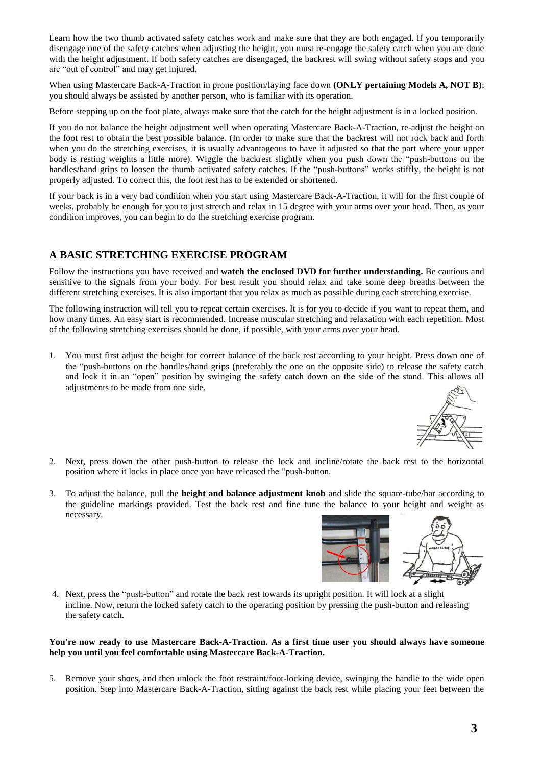Learn how the two thumb activated safety catches work and make sure that they are both engaged. If you temporarily disengage one of the safety catches when adjusting the height, you must re-engage the safety catch when you are done with the height adjustment. If both safety catches are disengaged, the backrest will swing without safety stops and you are "out of control" and may get injured.

When using Mastercare Back-A-Traction in prone position/laying face down **(ONLY pertaining Models A, NOT B)**; you should always be assisted by another person, who is familiar with its operation.

Before stepping up on the foot plate, always make sure that the catch for the height adjustment is in a locked position.

If you do not balance the height adjustment well when operating Mastercare Back-A-Traction, re-adjust the height on the foot rest to obtain the best possible balance. (In order to make sure that the backrest will not rock back and forth when you do the stretching exercises, it is usually advantageous to have it adjusted so that the part where your upper body is resting weights a little more). Wiggle the backrest slightly when you push down the "push-buttons on the handles/hand grips to loosen the thumb activated safety catches. If the "push-buttons" works stiffly*,* the height is not properly adjusted. To correct this, the foot rest has to be extended or shortened.

If your back is in a very bad condition when you start using Mastercare Back-A-Traction, it will for the first couple of weeks, probably be enough for you to just stretch and relax in 15 degree with your arms over your head. Then, as your condition improves, you can begin to do the stretching exercise program.

#### **A BASIC STRETCHING EXERCISE PROGRAM**

Follow the instructions you have received and **watch the enclosed DVD for further understanding.** Be cautious and sensitive to the signals from your body. For best result you should relax and take some deep breaths between the different stretching exercises. It is also important that you relax as much as possible during each stretching exercise.

The following instruction will tell you to repeat certain exercises. It is for you to decide if you want to repeat them, and how many times. An easy start is recommended. Increase muscular stretching and relaxation with each repetition. Most of the following stretching exercises should be done, if possible, with your arms over your head.

1. You must first adjust the height for correct balance of the back rest according to your height. Press down one of the "push-buttons on the handles/hand grips (preferably the one on the opposite side) to release the safety catch and lock it in an "open" position by swinging the safety catch down on the side of the stand. This allows all adjustments to be made from one side.



- 2. Next, press down the other push-button to release the lock and incline/rotate the back rest to the horizontal position where it locks in place once you have released the "push-button.
- 3. To adjust the balance, pull the **height and balance adjustment knob** and slide the square-tube/bar according to the guideline markings provided. Test the back rest and fine tune the balance to your height and weight as necessary.



4. Next, press the "push-button" and rotate the back rest towards its upright position. It will lock at a slight incline. Now, return the locked safety catch to the operating position by pressing the push-button and releasing the safety catch.

#### **You're now ready to use Mastercare Back-A-Traction. As a first time user you should always have someone help you until you feel comfortable using Mastercare Back-A-Traction.**

5. Remove your shoes, and then unlock the foot restraint/foot-locking device, swinging the handle to the wide open position. Step into Mastercare Back-A-Traction, sitting against the back rest while placing your feet between the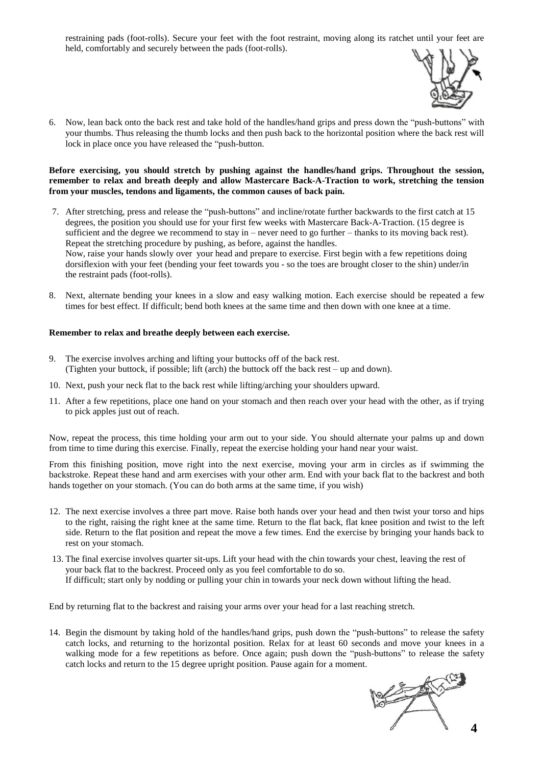restraining pads (foot-rolls). Secure your feet with the foot restraint, moving along its ratchet until your feet are held, comfortably and securely between the pads (foot-rolls).



6. Now, lean back onto the back rest and take hold of the handles/hand grips and press down the "push-buttons" with your thumbs. Thus releasing the thumb locks and then push back to the horizontal position where the back rest will lock in place once you have released the "push-button.

#### **Before exercising, you should stretch by pushing against the handles/hand grips. Throughout the session, remember to relax and breath deeply and allow Mastercare Back-A-Traction to work, stretching the tension from your muscles, tendons and ligaments, the common causes of back pain.**

- 7. After stretching, press and release the "push-buttons" and incline/rotate further backwards to the first catch at 15 degrees, the position you should use for your first few weeks with Mastercare Back-A-Traction. (15 degree is sufficient and the degree we recommend to stay in – never need to go further – thanks to its moving back rest). Repeat the stretching procedure by pushing, as before, against the handles. Now, raise your hands slowly over your head and prepare to exercise. First begin with a few repetitions doing dorsiflexion with your feet (bending your feet towards you - so the toes are brought closer to the shin) under/in the restraint pads (foot-rolls).
- 8. Next, alternate bending your knees in a slow and easy walking motion. Each exercise should be repeated a few times for best effect. If difficult; bend both knees at the same time and then down with one knee at a time.

#### **Remember to relax and breathe deeply between each exercise.**

- 9. The exercise involves arching and lifting your buttocks off of the back rest. (Tighten your buttock, if possible; lift (arch) the buttock off the back rest – up and down).
- 10. Next, push your neck flat to the back rest while lifting/arching your shoulders upward.
- 11. After a few repetitions, place one hand on your stomach and then reach over your head with the other, as if trying to pick apples just out of reach.

Now, repeat the process, this time holding your arm out to your side. You should alternate your palms up and down from time to time during this exercise. Finally, repeat the exercise holding your hand near your waist.

From this finishing position, move right into the next exercise, moving your arm in circles as if swimming the backstroke. Repeat these hand and arm exercises with your other arm. End with your back flat to the backrest and both hands together on your stomach. (You can do both arms at the same time, if you wish)

- 12. The next exercise involves a three part move. Raise both hands over your head and then twist your torso and hips to the right, raising the right knee at the same time. Return to the flat back, flat knee position and twist to the left side. Return to the flat position and repeat the move a few times. End the exercise by bringing your hands back to rest on your stomach.
- 13. The final exercise involves quarter sit-ups. Lift your head with the chin towards your chest, leaving the rest of your back flat to the backrest. Proceed only as you feel comfortable to do so. If difficult; start only by nodding or pulling your chin in towards your neck down without lifting the head.

End by returning flat to the backrest and raising your arms over your head for a last reaching stretch.

14. Begin the dismount by taking hold of the handles/hand grips, push down the "push-buttons" to release the safety catch locks, and returning to the horizontal position. Relax for at least 60 seconds and move your knees in a walking mode for a few repetitions as before. Once again; push down the "push-buttons" to release the safety catch locks and return to the 15 degree upright position. Pause again for a moment.

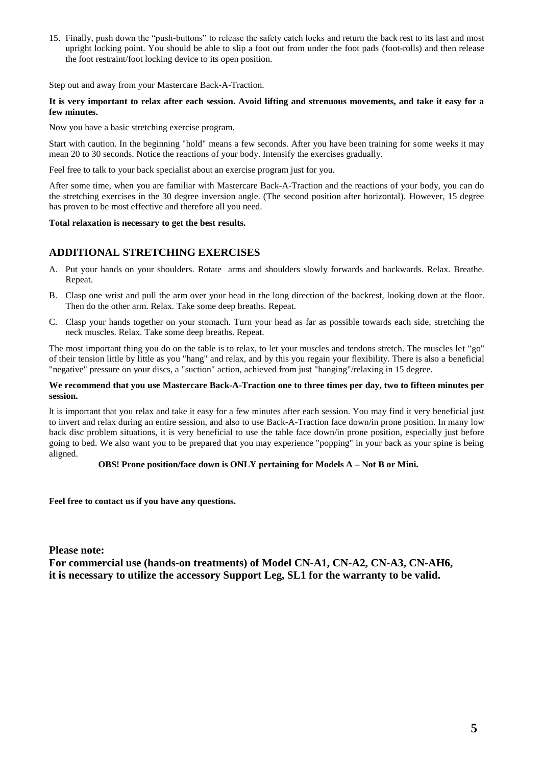15. Finally, push down the "push-buttons" to release the safety catch locks and return the back rest to its last and most upright locking point. You should be able to slip a foot out from under the foot pads (foot-rolls) and then release the foot restraint/foot locking device to its open position.

Step out and away from your Mastercare Back-A-Traction.

#### **It is very important to relax after each session. Avoid lifting and strenuous movements, and take it easy for a few minutes.**

Now you have a basic stretching exercise program.

Start with caution. In the beginning "hold" means a few seconds. After you have been training for some weeks it may mean 20 to 30 seconds. Notice the reactions of your body. Intensify the exercises gradually.

Feel free to talk to your back specialist about an exercise program just for you.

After some time, when you are familiar with Mastercare Back-A-Traction and the reactions of your body, you can do the stretching exercises in the 30 degree inversion angle. (The second position after horizontal). However, 15 degree has proven to be most effective and therefore all you need.

#### **Total relaxation is necessary to get the best results.**

### **ADDITIONAL STRETCHING EXERCISES**

- A. Put your hands on your shoulders. Rotate arms and shoulders slowly forwards and backwards. Relax. Breathe. Repeat.
- B. Clasp one wrist and pull the arm over your head in the long direction of the backrest, looking down at the floor. Then do the other arm. Relax. Take some deep breaths. Repeat.
- C. Clasp your hands together on your stomach. Turn your head as far as possible towards each side, stretching the neck muscles. Relax. Take some deep breaths. Repeat.

The most important thing you do on the table is to relax, to let your muscles and tendons stretch. The muscles let "go" of their tension little by little as you "hang" and relax, and by this you regain your flexibility. There is also a beneficial "negative" pressure on your discs, a "suction" action, achieved from just "hanging"/relaxing in 15 degree.

#### **We recommend that you use Mastercare Back-A-Traction one to three times per day, two to fifteen minutes per session.**

lt is important that you relax and take it easy for a few minutes after each session. You may find it very beneficial just to invert and relax during an entire session, and also to use Back-A-Traction face down/in prone position. In many low back disc problem situations, it is very beneficial to use the table face down/in prone position, especially just before going to bed. We also want you to be prepared that you may experience "popping" in your back as your spine is being aligned.

#### **OBS! Prone position/face down is ONLY pertaining for Models A – Not B or Mini.**

**Feel free to contact us if you have any questions.**

**Please note: For commercial use (hands-on treatments) of Model CN-A1, CN-A2, CN-A3, CN-AH6, it is necessary to utilize the accessory Support Leg, SL1 for the warranty to be valid.**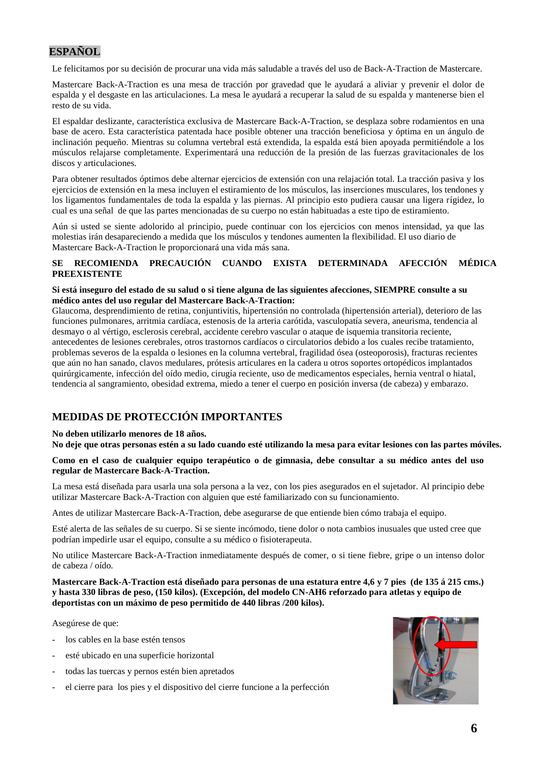# **ESPAÑOL**

Le felicitamos por su decisión de procurar una vida más saludable a través del uso de Back-A-Traction de Mastercare.

Mastercare Back-A-Traction es una mesa de tracción por gravedad que le ayudará a aliviar y prevenir el dolor de espalda y el desgaste en las articulaciones. La mesa le ayudará a recuperar la salud de su espalda y mantenerse bien el resto de su vida.

El espaldar deslizante, característica exclusiva de Mastercare Back-A-Traction, se desplaza sobre rodamientos en una base de acero. Esta característica patentada hace posible obtener una tracción beneficiosa y óptima en un ángulo de inclinación pequeño. Mientras su columna vertebral está extendida, la espalda está bien apoyada permitiéndole a los músculos relajarse completamente. Experimentará una reducción de la presión de las fuerzas gravitacionales de los discos y articulaciones.

Para obtener resultados óptimos debe alternar ejercicios de extensión con una relajación total. La tracción pasiva y los ejercicios de extensión en la mesa incluyen el estiramiento de los músculos, las inserciones musculares, los tendones y los ligamentos fundamentales de toda la espalda y las piernas. Al principio esto pudiera causar una ligera rígidez, lo cual es una señal de que las partes mencionadas de su cuerpo no están habituadas a este tipo de estiramiento.

Aún si usted se siente adolorido al principio, puede continuar con los ejercicios con menos intensidad, ya que las molestias irán desapareciendo a medida que los músculos y tendones aumenten la flexibilidad. El uso diario de Mastercare Back-A-Traction le proporcionará una vida más sana.

#### **SE RECOMIENDA PRECAUCIÓN CUANDO EXISTA DETERMINADA AFECCIÓN MÉDICA PREEXISTENTE**

#### **Si está inseguro del estado de su salud o si tiene alguna de las siguientes afecciones, SIEMPRE consulte a su médico antes del uso regular del Mastercare Back-A-Traction:**

Glaucoma, desprendimiento de retina, conjuntivitis, hipertensión no controlada (hipertensión arterial), deterioro de las funciones pulmonares, arritmia cardíaca, estenosis de la arteria carótida, vasculopatía severa, aneurisma, tendencia al desmayo o al vértigo, esclerosis cerebral, accidente cerebro vascular o ataque de isquemia transitoria reciente, antecedentes de lesiones cerebrales, otros trastornos cardíacos o circulatorios debido a los cuales recibe tratamiento, problemas severos de la espalda o lesiones en la columna vertebral, fragilidad ósea (osteoporosis), fracturas recientes que aún no han sanado, clavos medulares, prótesis articulares en la cadera u otros soportes ortopédicos implantados quirúrgicamente, infección del oído medio, cirugía reciente, uso de medicamentos especiales, hernia ventral o hiatal, tendencia al sangramiento, obesidad extrema, miedo a tener el cuerpo en posición inversa (de cabeza) y embarazo.

# **MEDIDAS DE PROTECCIÓN IMPORTANTES**

#### **No deben utilizarlo menores de 18 años.**

**No deje que otras personas estén a su lado cuando esté utilizando la mesa para evitar lesiones con las partes móviles.**

**Como en el caso de cualquier equipo terapéutico o de gimnasia, debe consultar a su médico antes del uso regular de Mastercare Back-A-Traction.**

La mesa está diseñada para usarla una sola persona a la vez, con los pies asegurados en el sujetador. Al principio debe utilizar Mastercare Back-A-Traction con alguien que esté familiarizado con su funcionamiento.

Antes de utilizar Mastercare Back-A-Traction, debe asegurarse de que entiende bien cómo trabaja el equipo.

Esté alerta de las señales de su cuerpo. Si se siente incómodo, tiene dolor o nota cambios inusuales que usted cree que podrían impedirle usar el equipo, consulte a su médico o fisioterapeuta.

No utilice Mastercare Back-A-Traction inmediatamente después de comer, o si tiene fiebre, gripe o un intenso dolor de cabeza / oído*.*

**Mastercare Back-A-Traction está diseñado para personas de una estatura entre 4,6 y 7 pies (de 135 á 215 cms.) y hasta 330 libras de peso, (150 kilos). (Excepción, del modelo CN-AH6 reforzado para atletas y equipo de deportistas con un máximo de peso permitido de 440 libras /200 kilos).**

Asegúrese de que:

- los cables en la base estén tensos
- esté ubicado en una superficie horizontal
- todas las tuercas y pernos estén bien apretados
- el cierre para los pies y el dispositivo del cierre funcione a la perfección

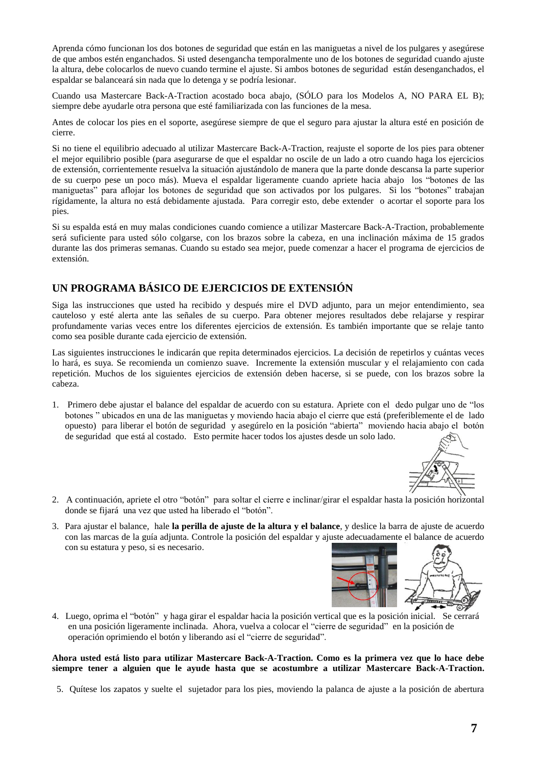Aprenda cómo funcionan los dos botones de seguridad que están en las maniguetas a nivel de los pulgares y asegúrese de que ambos estén enganchados. Si usted desengancha temporalmente uno de los botones de seguridad cuando ajuste la altura, debe colocarlos de nuevo cuando termine el ajuste. Si ambos botones de seguridad están desenganchados, el espaldar se balanceará sin nada que lo detenga y se podría lesionar.

Cuando usa Mastercare Back-A-Traction acostado boca abajo, (SÓLO para los Modelos A, NO PARA EL B); siempre debe ayudarle otra persona que esté familiarizada con las funciones de la mesa.

Antes de colocar los pies en el soporte, asegúrese siempre de que el seguro para ajustar la altura esté en posición de cierre.

Si no tiene el equilibrio adecuado al utilizar Mastercare Back-A-Traction, reajuste el soporte de los pies para obtener el mejor equilibrio posible (para asegurarse de que el espaldar no oscile de un lado a otro cuando haga los ejercicios de extensión, corrientemente resuelva la situación ajustándolo de manera que la parte donde descansa la parte superior de su cuerpo pese un poco más). Mueva el espaldar ligeramente cuando apriete hacia abajo los "botones de las maniguetas" para aflojar los botones de seguridad que son activados por los pulgares. Si los "botones" trabajan rígidamente, la altura no está debidamente ajustada. Para corregir esto, debe extender o acortar el soporte para los pies.

Si su espalda está en muy malas condiciones cuando comience a utilizar Mastercare Back-A-Traction, probablemente será suficiente para usted sólo colgarse, con los brazos sobre la cabeza, en una inclinación máxima de 15 grados durante las dos primeras semanas. Cuando su estado sea mejor, puede comenzar a hacer el programa de ejercicios de extensión.

# **UN PROGRAMA BÁSICO DE EJERCICIOS DE EXTENSIÓN**

Siga las instrucciones que usted ha recibido y después mire el DVD adjunto, para un mejor entendimiento, sea cauteloso y esté alerta ante las señales de su cuerpo. Para obtener mejores resultados debe relajarse y respirar profundamente varias veces entre los diferentes ejercicios de extensión. Es también importante que se relaje tanto como sea posible durante cada ejercicio de extensión.

Las siguientes instrucciones le indicarán que repita determinados ejercicios. La decisión de repetirlos y cuántas veces lo hará, es suya. Se recomienda un comienzo suave. Incremente la extensión muscular y el relajamiento con cada repetición. Muchos de los siguientes ejercicios de extensión deben hacerse, si se puede, con los brazos sobre la cabeza.

1. Primero debe ajustar el balance del espaldar de acuerdo con su estatura. Apriete con el dedo pulgar uno de "los botones " ubicados en una de las maniguetas y moviendo hacia abajo el cierre que está (preferiblemente el de lado opuesto) para liberar el botón de seguridad y asegúrelo en la posición "abierta" moviendo hacia abajo el botón de seguridad que está al costado. Esto permite hacer todos los ajustes desde un solo lado.



- 2. A continuación, apriete el otro "botón" para soltar el cierre e inclinar/girar el espaldar hasta la posición horizontal donde se fijará una vez que usted ha liberado el "botón".
- 3. Para ajustar el balance, hale **la perilla de ajuste de la altura y el balance**, y deslice la barra de ajuste de acuerdo con las marcas de la guía adjunta. Controle la posición del espaldar y ajuste adecuadamente el balance de acuerdo con su estatura y peso, si es necesario.



4. Luego, oprima el "botón" y haga girar el espaldar hacia la posición vertical que es la posición inicial. Se cerrará en una posición ligeramente inclinada. Ahora, vuelva a colocar el "cierre de seguridad" en la posición de operación oprimiendo el botón y liberando así el "cierre de seguridad".

#### **Ahora usted está listo para utilizar Mastercare Back-A-Traction. Como es la primera vez que lo hace debe siempre tener a alguien que le ayude hasta que se acostumbre a utilizar Mastercare Back-A-Traction.**

5. Quítese los zapatos y suelte el sujetador para los pies, moviendo la palanca de ajuste a la posición de abertura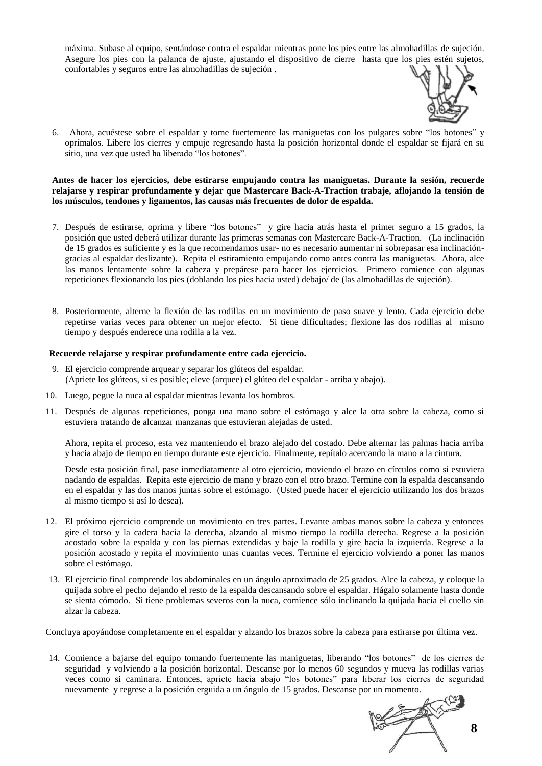máxima. Subase al equipo, sentándose contra el espaldar mientras pone los pies entre las almohadillas de sujeción. Asegure los pies con la palanca de ajuste, ajustando el dispositivo de cierre hasta que los pies estén sujetos, confortables y seguros entre las almohadillas de sujeción .



6. Ahora, acuéstese sobre el espaldar y tome fuertemente las maniguetas con los pulgares sobre "los botones" y oprímalos. Libere los cierres y empuje regresando hasta la posición horizontal donde el espaldar se fijará en su sitio, una vez que usted ha liberado "los botones".

#### **Antes de hacer los ejercicios, debe estirarse empujando contra las maniguetas. Durante la sesión, recuerde relajarse y respirar profundamente y dejar que Mastercare Back-A-Traction trabaje, aflojando la tensión de los músculos, tendones y ligamentos, las causas más frecuentes de dolor de espalda.**

- 7. Después de estirarse, oprima y libere "los botones" y gire hacia atrás hasta el primer seguro a 15 grados, la posición que usted deberá utilizar durante las primeras semanas con Mastercare Back-A-Traction. (La inclinación de 15 grados es suficiente y es la que recomendamos usar- no es necesario aumentar ni sobrepasar esa inclinacióngracias al espaldar deslizante). Repita el estiramiento empujando como antes contra las maniguetas. Ahora, alce las manos lentamente sobre la cabeza y prepárese para hacer los ejercicios. Primero comience con algunas repeticiones flexionando los pies (doblando los pies hacia usted) debajo/ de (las almohadillas de sujeción).
- 8. Posteriormente, alterne la flexión de las rodillas en un movimiento de paso suave y lento. Cada ejercicio debe repetirse varias veces para obtener un mejor efecto. Si tiene dificultades; flexione las dos rodillas al mismo tiempo y después enderece una rodilla a la vez.

#### **Recuerde relajarse y respirar profundamente entre cada ejercicio.**

- 9. El ejercicio comprende arquear y separar los glúteos del espaldar. (Apriete los glúteos, si es posible; eleve (arquee) el glúteo del espaldar - arriba y abajo).
- 10. Luego, pegue la nuca al espaldar mientras levanta los hombros.
- 11. Después de algunas repeticiones, ponga una mano sobre el estómago y alce la otra sobre la cabeza, como si estuviera tratando de alcanzar manzanas que estuvieran alejadas de usted.

Ahora, repita el proceso, esta vez manteniendo el brazo alejado del costado. Debe alternar las palmas hacia arriba y hacia abajo de tiempo en tiempo durante este ejercicio. Finalmente, repítalo acercando la mano a la cintura.

Desde esta posición final, pase inmediatamente al otro ejercicio, moviendo el brazo en círculos como si estuviera nadando de espaldas. Repita este ejercicio de mano y brazo con el otro brazo. Termine con la espalda descansando en el espaldar y las dos manos juntas sobre el estómago. (Usted puede hacer el ejercicio utilizando los dos brazos al mismo tiempo si así lo desea).

- 12. El próximo ejercicio comprende un movimiento en tres partes. Levante ambas manos sobre la cabeza y entonces gire el torso y la cadera hacia la derecha, alzando al mismo tiempo la rodilla derecha. Regrese a la posición acostado sobre la espalda y con las piernas extendidas y baje la rodilla y gire hacia la izquierda. Regrese a la posición acostado y repita el movimiento unas cuantas veces. Termine el ejercicio volviendo a poner las manos sobre el estómago.
- 13. El ejercicio final comprende los abdominales en un ángulo aproximado de 25 grados. Alce la cabeza, y coloque la quijada sobre el pecho dejando el resto de la espalda descansando sobre el espaldar. Hágalo solamente hasta donde se sienta cómodo. Si tiene problemas severos con la nuca, comience sólo inclinando la quijada hacia el cuello sin alzar la cabeza.

Concluya apoyándose completamente en el espaldar y alzando los brazos sobre la cabeza para estirarse por última vez.

14. Comience a bajarse del equipo tomando fuertemente las maniguetas, liberando "los botones" de los cierres de seguridad y volviendo a la posición horizontal. Descanse por lo menos 60 segundos y mueva las rodillas varias veces como si caminara. Entonces, apriete hacia abajo "los botones" para liberar los cierres de seguridad nuevamente y regrese a la posición erguida a un ángulo de 15 grados. Descanse por un momento.

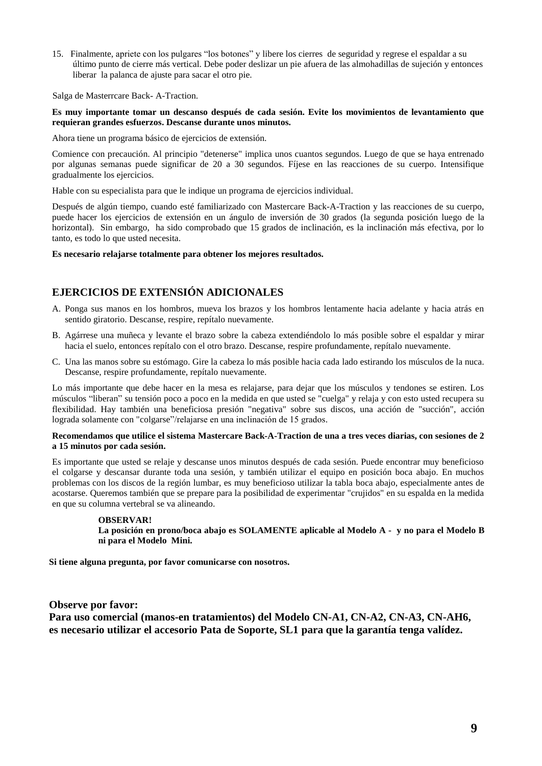15. Finalmente, apriete con los pulgares "los botones" y libere los cierres de seguridad y regrese el espaldar a su último punto de cierre más vertical. Debe poder deslizar un pie afuera de las almohadillas de sujeción y entonces liberar la palanca de ajuste para sacar el otro pie.

Salga de Masterrcare Back- A-Traction.

#### **Es muy importante tomar un descanso después de cada sesión. Evite los movimientos de levantamiento que requieran grandes esfuerzos. Descanse durante unos minutos.**

Ahora tiene un programa básico de ejercicios de extensión.

Comience con precaución. Al principio "detenerse" implica unos cuantos segundos. Luego de que se haya entrenado por algunas semanas puede significar de 20 a 30 segundos. Fíjese en las reacciones de su cuerpo. Intensifique gradualmente los ejercicios.

Hable con su especialista para que le indique un programa de ejercicios individual.

Después de algún tiempo, cuando esté familiarizado con Mastercare Back-A-Traction y las reacciones de su cuerpo, puede hacer los ejercicios de extensión en un ángulo de inversión de 30 grados (la segunda posición luego de la horizontal). Sin embargo, ha sido comprobado que 15 grados de inclinación, es la inclinación más efectiva, por lo tanto, es todo lo que usted necesita.

**Es necesario relajarse totalmente para obtener los mejores resultados.**

# **EJERCICIOS DE EXTENSIÓN ADICIONALES**

- A. Ponga sus manos en los hombros, mueva los brazos y los hombros lentamente hacia adelante y hacia atrás en sentido giratorio. Descanse, respire, repítalo nuevamente.
- B. Agárrese una muñeca y levante el brazo sobre la cabeza extendiéndolo lo más posible sobre el espaldar y mirar hacia el suelo, entonces repítalo con el otro brazo. Descanse, respire profundamente, repítalo nuevamente.
- C. Una las manos sobre su estómago. Gire la cabeza lo más posible hacia cada lado estirando los músculos de la nuca. Descanse, respire profundamente, repítalo nuevamente.

Lo más importante que debe hacer en la mesa es relajarse, para dejar que los músculos y tendones se estiren. Los músculos "liberan" su tensión poco a poco en la medida en que usted se "cuelga" y relaja y con esto usted recupera su flexibilidad. Hay también una beneficiosa presión "negativa" sobre sus discos, una acción de "succión", acción lograda solamente con "colgarse"/relajarse en una inclinación de 15 grados.

#### **Recomendamos que utilice el sistema Mastercare Back-A-Traction de una a tres veces diarias, con sesiones de 2 a 15 minutos por cada sesión.**

Es importante que usted se relaje y descanse unos minutos después de cada sesión. Puede encontrar muy beneficioso el colgarse y descansar durante toda una sesión, y también utilizar el equipo en posición boca abajo. En muchos problemas con los discos de la región lumbar, es muy beneficioso utilizar la tabla boca abajo, especialmente antes de acostarse. Queremos también que se prepare para la posibilidad de experimentar "crujidos" en su espalda en la medida en que su columna vertebral se va alineando.

#### **OBSERVAR!**

**La posición en prono/boca abajo es SOLAMENTE aplicable al Modelo A - y no para el Modelo B ni para el Modelo Mini.**

**Si tiene alguna pregunta, por favor comunicarse con nosotros.**

#### **Observe por favor:**

**Para uso comercial (manos-en tratamientos) del Modelo CN-A1, CN-A2, CN-A3, CN-AH6, es necesario utilizar el accesorio Pata de Soporte, SL1 para que la garantía tenga valídez.**